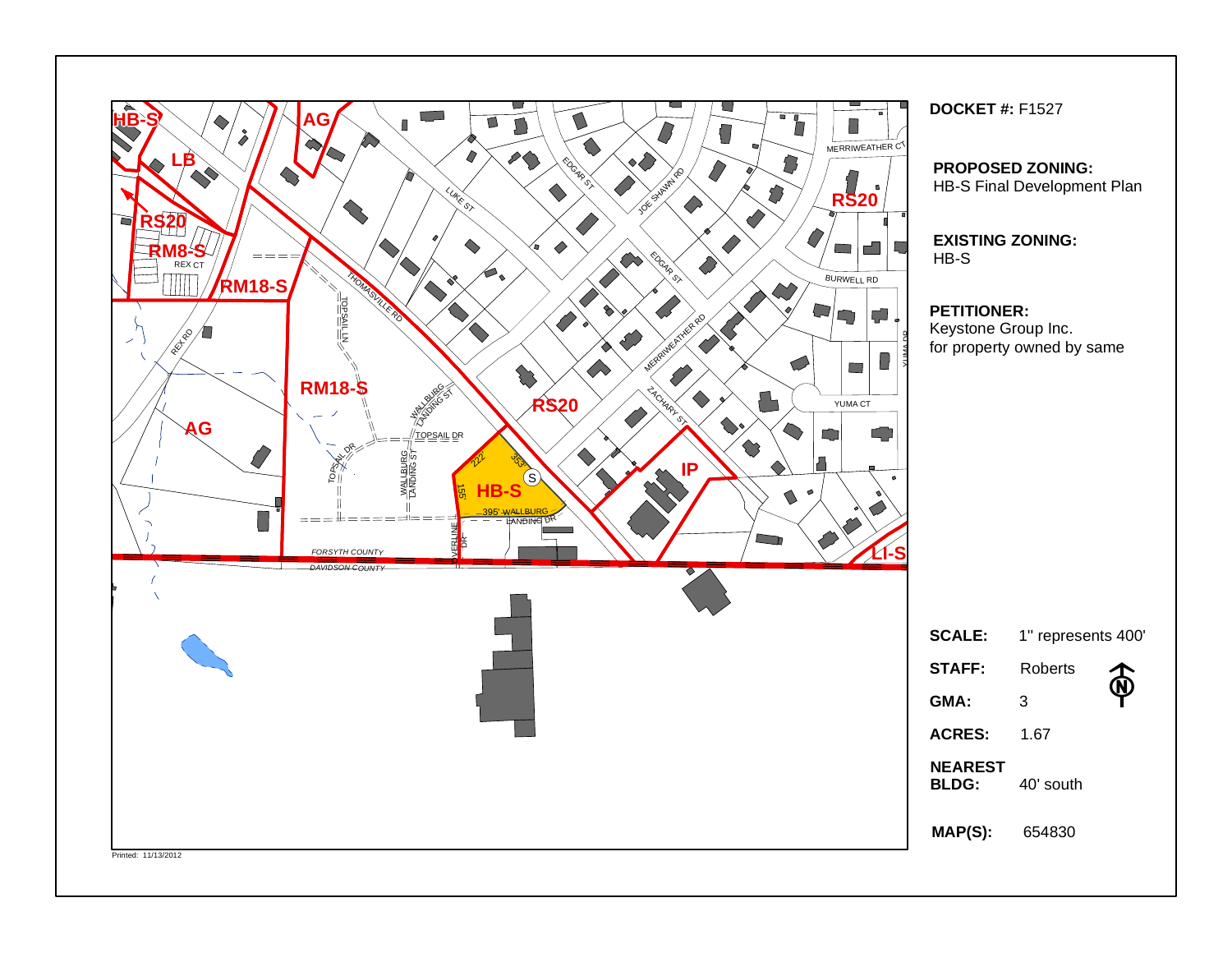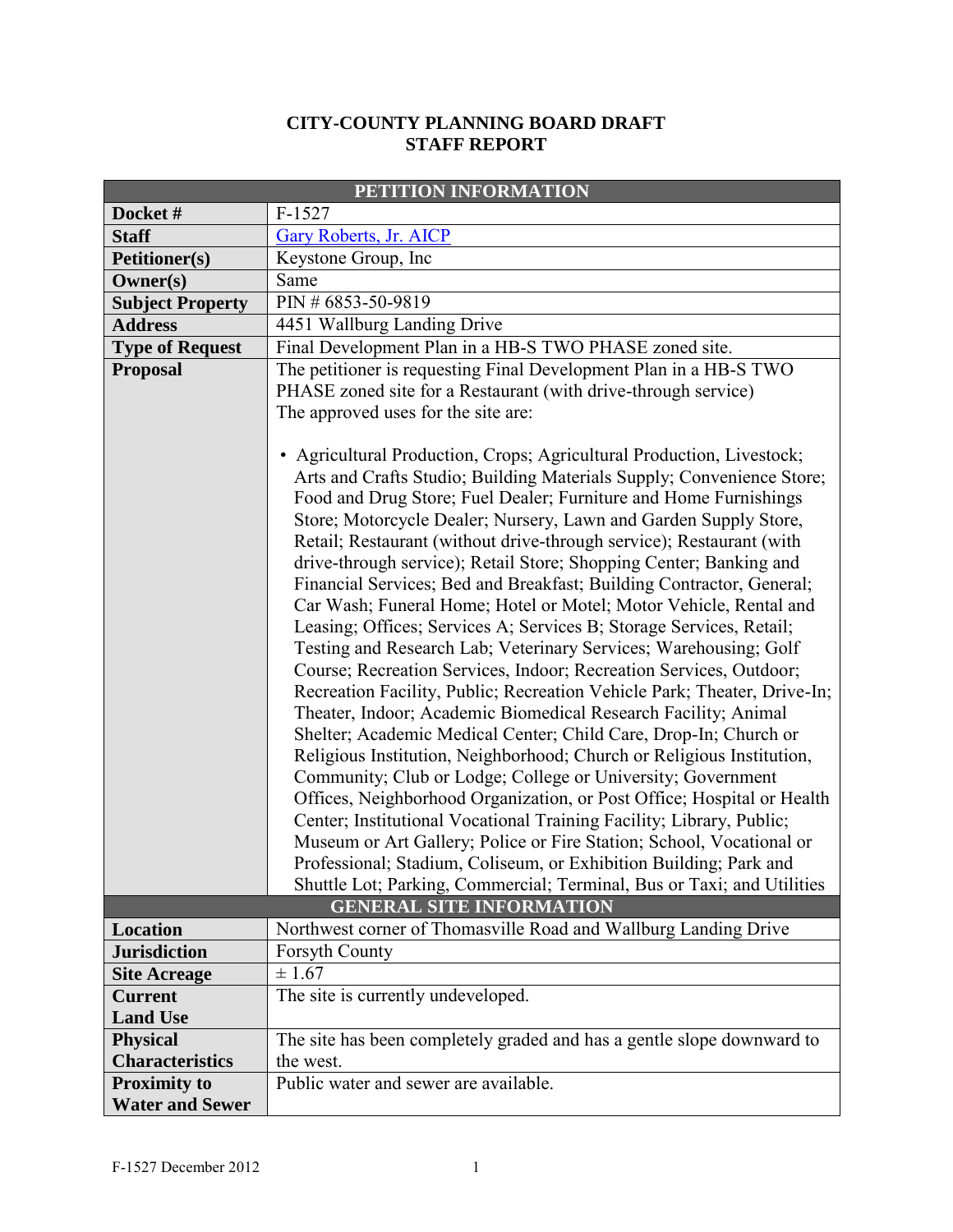## **CITY-COUNTY PLANNING BOARD DRAFT STAFF REPORT**

| PETITION INFORMATION<br>$F-1527$<br><b>Gary Roberts, Jr. AICP</b><br>Keystone Group, Inc<br>Same<br>PIN # 6853-50-9819<br>4451 Wallburg Landing Drive<br>Final Development Plan in a HB-S TWO PHASE zoned site.<br>The petitioner is requesting Final Development Plan in a HB-S TWO<br>PHASE zoned site for a Restaurant (with drive-through service)<br>The approved uses for the site are:<br>• Agricultural Production, Crops; Agricultural Production, Livestock;<br>Arts and Crafts Studio; Building Materials Supply; Convenience Store;<br>Food and Drug Store; Fuel Dealer; Furniture and Home Furnishings<br>Store; Motorcycle Dealer; Nursery, Lawn and Garden Supply Store,<br>Retail; Restaurant (without drive-through service); Restaurant (with<br>drive-through service); Retail Store; Shopping Center; Banking and<br>Financial Services; Bed and Breakfast; Building Contractor, General;<br>Car Wash; Funeral Home; Hotel or Motel; Motor Vehicle, Rental and<br>Leasing; Offices; Services A; Services B; Storage Services, Retail; |                                                                                                                                                                                                                                                                                                                                                                                                                                                                                                                                                                                                                                                                                                                                                                                                                                                                                                              |  |  |  |  |
|-----------------------------------------------------------------------------------------------------------------------------------------------------------------------------------------------------------------------------------------------------------------------------------------------------------------------------------------------------------------------------------------------------------------------------------------------------------------------------------------------------------------------------------------------------------------------------------------------------------------------------------------------------------------------------------------------------------------------------------------------------------------------------------------------------------------------------------------------------------------------------------------------------------------------------------------------------------------------------------------------------------------------------------------------------------|--------------------------------------------------------------------------------------------------------------------------------------------------------------------------------------------------------------------------------------------------------------------------------------------------------------------------------------------------------------------------------------------------------------------------------------------------------------------------------------------------------------------------------------------------------------------------------------------------------------------------------------------------------------------------------------------------------------------------------------------------------------------------------------------------------------------------------------------------------------------------------------------------------------|--|--|--|--|
| Docket#                                                                                                                                                                                                                                                                                                                                                                                                                                                                                                                                                                                                                                                                                                                                                                                                                                                                                                                                                                                                                                                   |                                                                                                                                                                                                                                                                                                                                                                                                                                                                                                                                                                                                                                                                                                                                                                                                                                                                                                              |  |  |  |  |
| <b>Staff</b>                                                                                                                                                                                                                                                                                                                                                                                                                                                                                                                                                                                                                                                                                                                                                                                                                                                                                                                                                                                                                                              |                                                                                                                                                                                                                                                                                                                                                                                                                                                                                                                                                                                                                                                                                                                                                                                                                                                                                                              |  |  |  |  |
| <b>Petitioner(s)</b>                                                                                                                                                                                                                                                                                                                                                                                                                                                                                                                                                                                                                                                                                                                                                                                                                                                                                                                                                                                                                                      |                                                                                                                                                                                                                                                                                                                                                                                                                                                                                                                                                                                                                                                                                                                                                                                                                                                                                                              |  |  |  |  |
| Owner(s)                                                                                                                                                                                                                                                                                                                                                                                                                                                                                                                                                                                                                                                                                                                                                                                                                                                                                                                                                                                                                                                  |                                                                                                                                                                                                                                                                                                                                                                                                                                                                                                                                                                                                                                                                                                                                                                                                                                                                                                              |  |  |  |  |
| <b>Subject Property</b>                                                                                                                                                                                                                                                                                                                                                                                                                                                                                                                                                                                                                                                                                                                                                                                                                                                                                                                                                                                                                                   |                                                                                                                                                                                                                                                                                                                                                                                                                                                                                                                                                                                                                                                                                                                                                                                                                                                                                                              |  |  |  |  |
| <b>Address</b>                                                                                                                                                                                                                                                                                                                                                                                                                                                                                                                                                                                                                                                                                                                                                                                                                                                                                                                                                                                                                                            |                                                                                                                                                                                                                                                                                                                                                                                                                                                                                                                                                                                                                                                                                                                                                                                                                                                                                                              |  |  |  |  |
| <b>Type of Request</b>                                                                                                                                                                                                                                                                                                                                                                                                                                                                                                                                                                                                                                                                                                                                                                                                                                                                                                                                                                                                                                    |                                                                                                                                                                                                                                                                                                                                                                                                                                                                                                                                                                                                                                                                                                                                                                                                                                                                                                              |  |  |  |  |
| <b>Proposal</b>                                                                                                                                                                                                                                                                                                                                                                                                                                                                                                                                                                                                                                                                                                                                                                                                                                                                                                                                                                                                                                           |                                                                                                                                                                                                                                                                                                                                                                                                                                                                                                                                                                                                                                                                                                                                                                                                                                                                                                              |  |  |  |  |
|                                                                                                                                                                                                                                                                                                                                                                                                                                                                                                                                                                                                                                                                                                                                                                                                                                                                                                                                                                                                                                                           |                                                                                                                                                                                                                                                                                                                                                                                                                                                                                                                                                                                                                                                                                                                                                                                                                                                                                                              |  |  |  |  |
|                                                                                                                                                                                                                                                                                                                                                                                                                                                                                                                                                                                                                                                                                                                                                                                                                                                                                                                                                                                                                                                           |                                                                                                                                                                                                                                                                                                                                                                                                                                                                                                                                                                                                                                                                                                                                                                                                                                                                                                              |  |  |  |  |
|                                                                                                                                                                                                                                                                                                                                                                                                                                                                                                                                                                                                                                                                                                                                                                                                                                                                                                                                                                                                                                                           |                                                                                                                                                                                                                                                                                                                                                                                                                                                                                                                                                                                                                                                                                                                                                                                                                                                                                                              |  |  |  |  |
|                                                                                                                                                                                                                                                                                                                                                                                                                                                                                                                                                                                                                                                                                                                                                                                                                                                                                                                                                                                                                                                           | Testing and Research Lab; Veterinary Services; Warehousing; Golf<br>Course; Recreation Services, Indoor; Recreation Services, Outdoor;<br>Recreation Facility, Public; Recreation Vehicle Park; Theater, Drive-In;<br>Theater, Indoor; Academic Biomedical Research Facility; Animal<br>Shelter; Academic Medical Center; Child Care, Drop-In; Church or<br>Religious Institution, Neighborhood; Church or Religious Institution,<br>Community; Club or Lodge; College or University; Government<br>Offices, Neighborhood Organization, or Post Office; Hospital or Health<br>Center; Institutional Vocational Training Facility; Library, Public;<br>Museum or Art Gallery; Police or Fire Station; School, Vocational or<br>Professional; Stadium, Coliseum, or Exhibition Building; Park and<br>Shuttle Lot; Parking, Commercial; Terminal, Bus or Taxi; and Utilities<br><b>GENERAL SITE INFORMATION</b> |  |  |  |  |
| Location                                                                                                                                                                                                                                                                                                                                                                                                                                                                                                                                                                                                                                                                                                                                                                                                                                                                                                                                                                                                                                                  | Northwest corner of Thomasville Road and Wallburg Landing Drive                                                                                                                                                                                                                                                                                                                                                                                                                                                                                                                                                                                                                                                                                                                                                                                                                                              |  |  |  |  |
| <b>Jurisdiction</b>                                                                                                                                                                                                                                                                                                                                                                                                                                                                                                                                                                                                                                                                                                                                                                                                                                                                                                                                                                                                                                       | <b>Forsyth County</b>                                                                                                                                                                                                                                                                                                                                                                                                                                                                                                                                                                                                                                                                                                                                                                                                                                                                                        |  |  |  |  |
| <b>Site Acreage</b>                                                                                                                                                                                                                                                                                                                                                                                                                                                                                                                                                                                                                                                                                                                                                                                                                                                                                                                                                                                                                                       | $\pm 1.67$                                                                                                                                                                                                                                                                                                                                                                                                                                                                                                                                                                                                                                                                                                                                                                                                                                                                                                   |  |  |  |  |
| <b>Current</b>                                                                                                                                                                                                                                                                                                                                                                                                                                                                                                                                                                                                                                                                                                                                                                                                                                                                                                                                                                                                                                            | The site is currently undeveloped.                                                                                                                                                                                                                                                                                                                                                                                                                                                                                                                                                                                                                                                                                                                                                                                                                                                                           |  |  |  |  |
| <b>Land Use</b>                                                                                                                                                                                                                                                                                                                                                                                                                                                                                                                                                                                                                                                                                                                                                                                                                                                                                                                                                                                                                                           |                                                                                                                                                                                                                                                                                                                                                                                                                                                                                                                                                                                                                                                                                                                                                                                                                                                                                                              |  |  |  |  |
| <b>Physical</b>                                                                                                                                                                                                                                                                                                                                                                                                                                                                                                                                                                                                                                                                                                                                                                                                                                                                                                                                                                                                                                           | The site has been completely graded and has a gentle slope downward to                                                                                                                                                                                                                                                                                                                                                                                                                                                                                                                                                                                                                                                                                                                                                                                                                                       |  |  |  |  |
| <b>Characteristics</b>                                                                                                                                                                                                                                                                                                                                                                                                                                                                                                                                                                                                                                                                                                                                                                                                                                                                                                                                                                                                                                    | the west.                                                                                                                                                                                                                                                                                                                                                                                                                                                                                                                                                                                                                                                                                                                                                                                                                                                                                                    |  |  |  |  |
| <b>Proximity to</b>                                                                                                                                                                                                                                                                                                                                                                                                                                                                                                                                                                                                                                                                                                                                                                                                                                                                                                                                                                                                                                       | Public water and sewer are available.                                                                                                                                                                                                                                                                                                                                                                                                                                                                                                                                                                                                                                                                                                                                                                                                                                                                        |  |  |  |  |
| <b>Water and Sewer</b>                                                                                                                                                                                                                                                                                                                                                                                                                                                                                                                                                                                                                                                                                                                                                                                                                                                                                                                                                                                                                                    |                                                                                                                                                                                                                                                                                                                                                                                                                                                                                                                                                                                                                                                                                                                                                                                                                                                                                                              |  |  |  |  |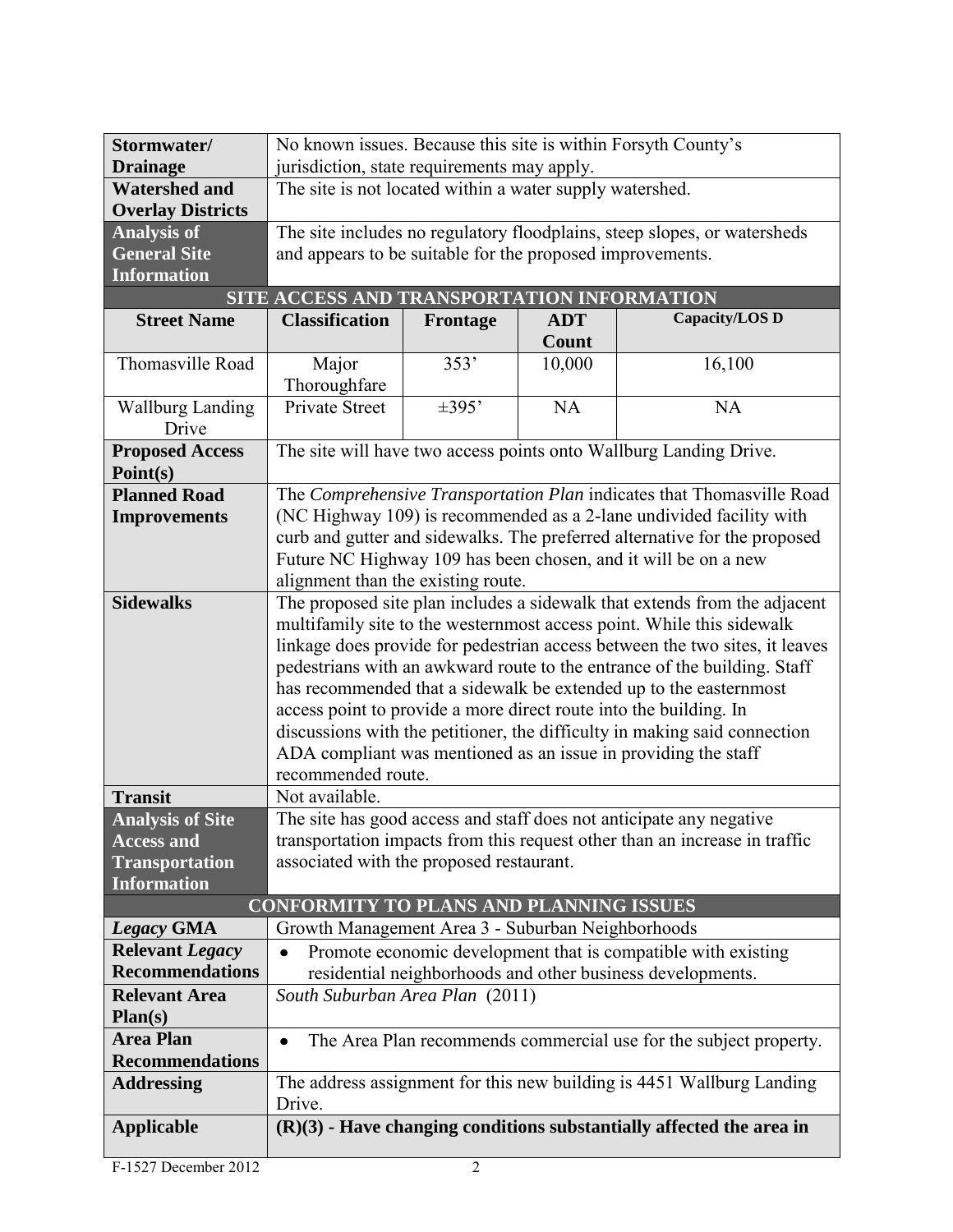| Stormwater/                      | No known issues. Because this site is within Forsyth County's                                           |                                                                                                                                             |                     |                                                                             |  |  |  |  |  |  |  |
|----------------------------------|---------------------------------------------------------------------------------------------------------|---------------------------------------------------------------------------------------------------------------------------------------------|---------------------|-----------------------------------------------------------------------------|--|--|--|--|--|--|--|
| <b>Drainage</b>                  | jurisdiction, state requirements may apply.<br>The site is not located within a water supply watershed. |                                                                                                                                             |                     |                                                                             |  |  |  |  |  |  |  |
| <b>Watershed and</b>             |                                                                                                         |                                                                                                                                             |                     |                                                                             |  |  |  |  |  |  |  |
| <b>Overlay Districts</b>         |                                                                                                         |                                                                                                                                             |                     |                                                                             |  |  |  |  |  |  |  |
| <b>Analysis of</b>               | The site includes no regulatory floodplains, steep slopes, or watersheds                                |                                                                                                                                             |                     |                                                                             |  |  |  |  |  |  |  |
| <b>General Site</b>              | and appears to be suitable for the proposed improvements.                                               |                                                                                                                                             |                     |                                                                             |  |  |  |  |  |  |  |
| <b>Information</b>               |                                                                                                         |                                                                                                                                             |                     |                                                                             |  |  |  |  |  |  |  |
|                                  | SITE ACCESS AND TRANSPORTATION INFORMATION                                                              |                                                                                                                                             |                     |                                                                             |  |  |  |  |  |  |  |
| <b>Street Name</b>               | <b>Classification</b>                                                                                   | Frontage                                                                                                                                    | <b>ADT</b><br>Count | Capacity/LOS D                                                              |  |  |  |  |  |  |  |
| Thomasville Road                 | Major<br>Thoroughfare                                                                                   | 353'                                                                                                                                        | 10,000              | 16,100                                                                      |  |  |  |  |  |  |  |
| <b>Wallburg Landing</b><br>Drive | <b>Private Street</b>                                                                                   | $\pm 395$                                                                                                                                   | <b>NA</b>           | <b>NA</b>                                                                   |  |  |  |  |  |  |  |
| <b>Proposed Access</b>           | The site will have two access points onto Wallburg Landing Drive.                                       |                                                                                                                                             |                     |                                                                             |  |  |  |  |  |  |  |
| Point(s)                         |                                                                                                         |                                                                                                                                             |                     |                                                                             |  |  |  |  |  |  |  |
| <b>Planned Road</b>              |                                                                                                         |                                                                                                                                             |                     | The Comprehensive Transportation Plan indicates that Thomasville Road       |  |  |  |  |  |  |  |
| <b>Improvements</b>              | (NC Highway 109) is recommended as a 2-lane undivided facility with                                     |                                                                                                                                             |                     |                                                                             |  |  |  |  |  |  |  |
|                                  | curb and gutter and sidewalks. The preferred alternative for the proposed                               |                                                                                                                                             |                     |                                                                             |  |  |  |  |  |  |  |
|                                  | Future NC Highway 109 has been chosen, and it will be on a new                                          |                                                                                                                                             |                     |                                                                             |  |  |  |  |  |  |  |
|                                  | alignment than the existing route.                                                                      |                                                                                                                                             |                     |                                                                             |  |  |  |  |  |  |  |
| <b>Sidewalks</b>                 |                                                                                                         |                                                                                                                                             |                     | The proposed site plan includes a sidewalk that extends from the adjacent   |  |  |  |  |  |  |  |
|                                  |                                                                                                         |                                                                                                                                             |                     | multifamily site to the westernmost access point. While this sidewalk       |  |  |  |  |  |  |  |
|                                  |                                                                                                         |                                                                                                                                             |                     | linkage does provide for pedestrian access between the two sites, it leaves |  |  |  |  |  |  |  |
|                                  |                                                                                                         |                                                                                                                                             |                     | pedestrians with an awkward route to the entrance of the building. Staff    |  |  |  |  |  |  |  |
|                                  |                                                                                                         |                                                                                                                                             |                     | has recommended that a sidewalk be extended up to the easternmost           |  |  |  |  |  |  |  |
|                                  |                                                                                                         |                                                                                                                                             |                     | access point to provide a more direct route into the building. In           |  |  |  |  |  |  |  |
|                                  |                                                                                                         | discussions with the petitioner, the difficulty in making said connection<br>ADA compliant was mentioned as an issue in providing the staff |                     |                                                                             |  |  |  |  |  |  |  |
|                                  |                                                                                                         |                                                                                                                                             |                     |                                                                             |  |  |  |  |  |  |  |
| <b>Transit</b>                   | Not available.                                                                                          | recommended route.                                                                                                                          |                     |                                                                             |  |  |  |  |  |  |  |
| <b>Analysis of Site</b>          | The site has good access and staff does not anticipate any negative                                     |                                                                                                                                             |                     |                                                                             |  |  |  |  |  |  |  |
| <b>Access and</b>                | transportation impacts from this request other than an increase in traffic                              |                                                                                                                                             |                     |                                                                             |  |  |  |  |  |  |  |
| <b>Transportation</b>            | associated with the proposed restaurant.                                                                |                                                                                                                                             |                     |                                                                             |  |  |  |  |  |  |  |
| <b>Information</b>               |                                                                                                         |                                                                                                                                             |                     |                                                                             |  |  |  |  |  |  |  |
|                                  | <b>CONFORMITY TO PLANS AND PLANNING ISSUES</b>                                                          |                                                                                                                                             |                     |                                                                             |  |  |  |  |  |  |  |
| <b>Legacy GMA</b>                | Growth Management Area 3 - Suburban Neighborhoods                                                       |                                                                                                                                             |                     |                                                                             |  |  |  |  |  |  |  |
| <b>Relevant Legacy</b>           |                                                                                                         |                                                                                                                                             |                     | Promote economic development that is compatible with existing               |  |  |  |  |  |  |  |
| <b>Recommendations</b>           |                                                                                                         |                                                                                                                                             |                     | residential neighborhoods and other business developments.                  |  |  |  |  |  |  |  |
| <b>Relevant Area</b>             | South Suburban Area Plan (2011)                                                                         |                                                                                                                                             |                     |                                                                             |  |  |  |  |  |  |  |
| Plan(s)                          |                                                                                                         |                                                                                                                                             |                     |                                                                             |  |  |  |  |  |  |  |
| <b>Area Plan</b>                 | $\bullet$                                                                                               |                                                                                                                                             |                     | The Area Plan recommends commercial use for the subject property.           |  |  |  |  |  |  |  |
| <b>Recommendations</b>           |                                                                                                         |                                                                                                                                             |                     |                                                                             |  |  |  |  |  |  |  |
| <b>Addressing</b>                |                                                                                                         |                                                                                                                                             |                     | The address assignment for this new building is 4451 Wallburg Landing       |  |  |  |  |  |  |  |
|                                  | Drive.                                                                                                  |                                                                                                                                             |                     |                                                                             |  |  |  |  |  |  |  |
| <b>Applicable</b>                |                                                                                                         |                                                                                                                                             |                     | $(R)(3)$ - Have changing conditions substantially affected the area in      |  |  |  |  |  |  |  |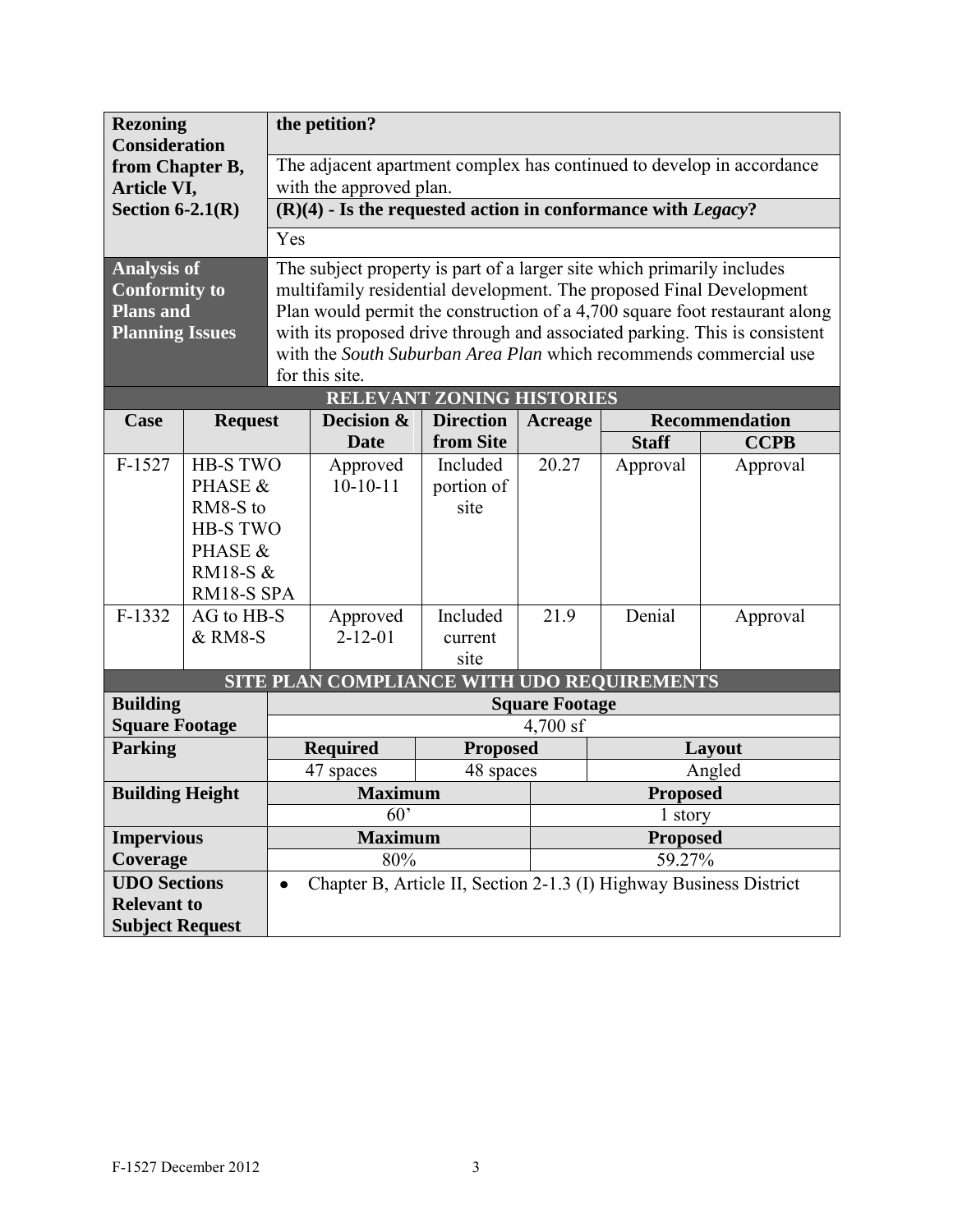| <b>Rezoning</b><br><b>Consideration</b>            |                       | the petition?                                                                                    |                                                                                                                                               |                  |                 |                 |                                                                            |  |  |  |  |  |
|----------------------------------------------------|-----------------------|--------------------------------------------------------------------------------------------------|-----------------------------------------------------------------------------------------------------------------------------------------------|------------------|-----------------|-----------------|----------------------------------------------------------------------------|--|--|--|--|--|
| from Chapter B,<br>Article VI,                     |                       | The adjacent apartment complex has continued to develop in accordance<br>with the approved plan. |                                                                                                                                               |                  |                 |                 |                                                                            |  |  |  |  |  |
| Section $6-2.1(R)$                                 |                       | $(R)(4)$ - Is the requested action in conformance with Legacy?                                   |                                                                                                                                               |                  |                 |                 |                                                                            |  |  |  |  |  |
|                                                    |                       | Yes                                                                                              |                                                                                                                                               |                  |                 |                 |                                                                            |  |  |  |  |  |
| <b>Analysis of</b>                                 |                       |                                                                                                  |                                                                                                                                               |                  |                 |                 |                                                                            |  |  |  |  |  |
| <b>Conformity to</b>                               |                       |                                                                                                  | The subject property is part of a larger site which primarily includes<br>multifamily residential development. The proposed Final Development |                  |                 |                 |                                                                            |  |  |  |  |  |
| <b>Plans</b> and                                   |                       |                                                                                                  | Plan would permit the construction of a 4,700 square foot restaurant along                                                                    |                  |                 |                 |                                                                            |  |  |  |  |  |
| <b>Planning Issues</b>                             |                       |                                                                                                  |                                                                                                                                               |                  |                 |                 | with its proposed drive through and associated parking. This is consistent |  |  |  |  |  |
|                                                    |                       |                                                                                                  | with the South Suburban Area Plan which recommends commercial use                                                                             |                  |                 |                 |                                                                            |  |  |  |  |  |
| for this site.<br><b>RELEVANT ZONING HISTORIES</b> |                       |                                                                                                  |                                                                                                                                               |                  |                 |                 |                                                                            |  |  |  |  |  |
| Case                                               |                       |                                                                                                  | Decision &                                                                                                                                    | <b>Direction</b> | <b>Acreage</b>  |                 | <b>Recommendation</b>                                                      |  |  |  |  |  |
|                                                    | <b>Request</b>        |                                                                                                  | <b>Date</b>                                                                                                                                   | from Site        |                 | <b>Staff</b>    | <b>CCPB</b>                                                                |  |  |  |  |  |
| $F-1527$                                           | <b>HB-S TWO</b>       |                                                                                                  | Approved                                                                                                                                      | Included         | 20.27           | Approval        | Approval                                                                   |  |  |  |  |  |
|                                                    | PHASE &               |                                                                                                  | $10-10-11$                                                                                                                                    | portion of       |                 |                 |                                                                            |  |  |  |  |  |
|                                                    | RM8-S to              |                                                                                                  |                                                                                                                                               | site             |                 |                 |                                                                            |  |  |  |  |  |
|                                                    | <b>HB-S TWO</b>       |                                                                                                  |                                                                                                                                               |                  |                 |                 |                                                                            |  |  |  |  |  |
|                                                    | PHASE &               |                                                                                                  |                                                                                                                                               |                  |                 |                 |                                                                            |  |  |  |  |  |
|                                                    | RM18-S &              |                                                                                                  |                                                                                                                                               |                  |                 |                 |                                                                            |  |  |  |  |  |
| $F-1332$                                           | RM18-S SPA            |                                                                                                  |                                                                                                                                               | 21.9<br>Included |                 | Denial          |                                                                            |  |  |  |  |  |
|                                                    | AG to HB-S<br>& RM8-S |                                                                                                  | Approved<br>$2 - 12 - 01$                                                                                                                     |                  |                 |                 | Approval                                                                   |  |  |  |  |  |
|                                                    |                       |                                                                                                  |                                                                                                                                               | current<br>site  |                 |                 |                                                                            |  |  |  |  |  |
|                                                    |                       | SITE PLAN COMPLIANCE WITH UDO REQUIREMENTS                                                       |                                                                                                                                               |                  |                 |                 |                                                                            |  |  |  |  |  |
| <b>Building</b>                                    |                       | <b>Square Footage</b>                                                                            |                                                                                                                                               |                  |                 |                 |                                                                            |  |  |  |  |  |
| <b>Square Footage</b>                              |                       | 4,700 sf                                                                                         |                                                                                                                                               |                  |                 |                 |                                                                            |  |  |  |  |  |
| <b>Parking</b>                                     |                       |                                                                                                  | <b>Required</b>                                                                                                                               | <b>Proposed</b>  |                 |                 | Layout                                                                     |  |  |  |  |  |
|                                                    |                       |                                                                                                  | 47 spaces                                                                                                                                     | 48 spaces        |                 |                 | Angled                                                                     |  |  |  |  |  |
| <b>Building Height</b>                             |                       |                                                                                                  | <b>Maximum</b>                                                                                                                                |                  |                 | <b>Proposed</b> |                                                                            |  |  |  |  |  |
|                                                    |                       |                                                                                                  | 60'                                                                                                                                           |                  |                 | 1 story         |                                                                            |  |  |  |  |  |
| <b>Impervious</b>                                  |                       |                                                                                                  | <b>Maximum</b>                                                                                                                                |                  | <b>Proposed</b> |                 |                                                                            |  |  |  |  |  |
| Coverage                                           |                       |                                                                                                  | 80%                                                                                                                                           |                  |                 | 59.27%          |                                                                            |  |  |  |  |  |
| <b>UDO Sections</b>                                |                       | $\bullet$                                                                                        | Chapter B, Article II, Section 2-1.3 (I) Highway Business District                                                                            |                  |                 |                 |                                                                            |  |  |  |  |  |
| <b>Relevant to</b>                                 |                       |                                                                                                  |                                                                                                                                               |                  |                 |                 |                                                                            |  |  |  |  |  |
| <b>Subject Request</b>                             |                       |                                                                                                  |                                                                                                                                               |                  |                 |                 |                                                                            |  |  |  |  |  |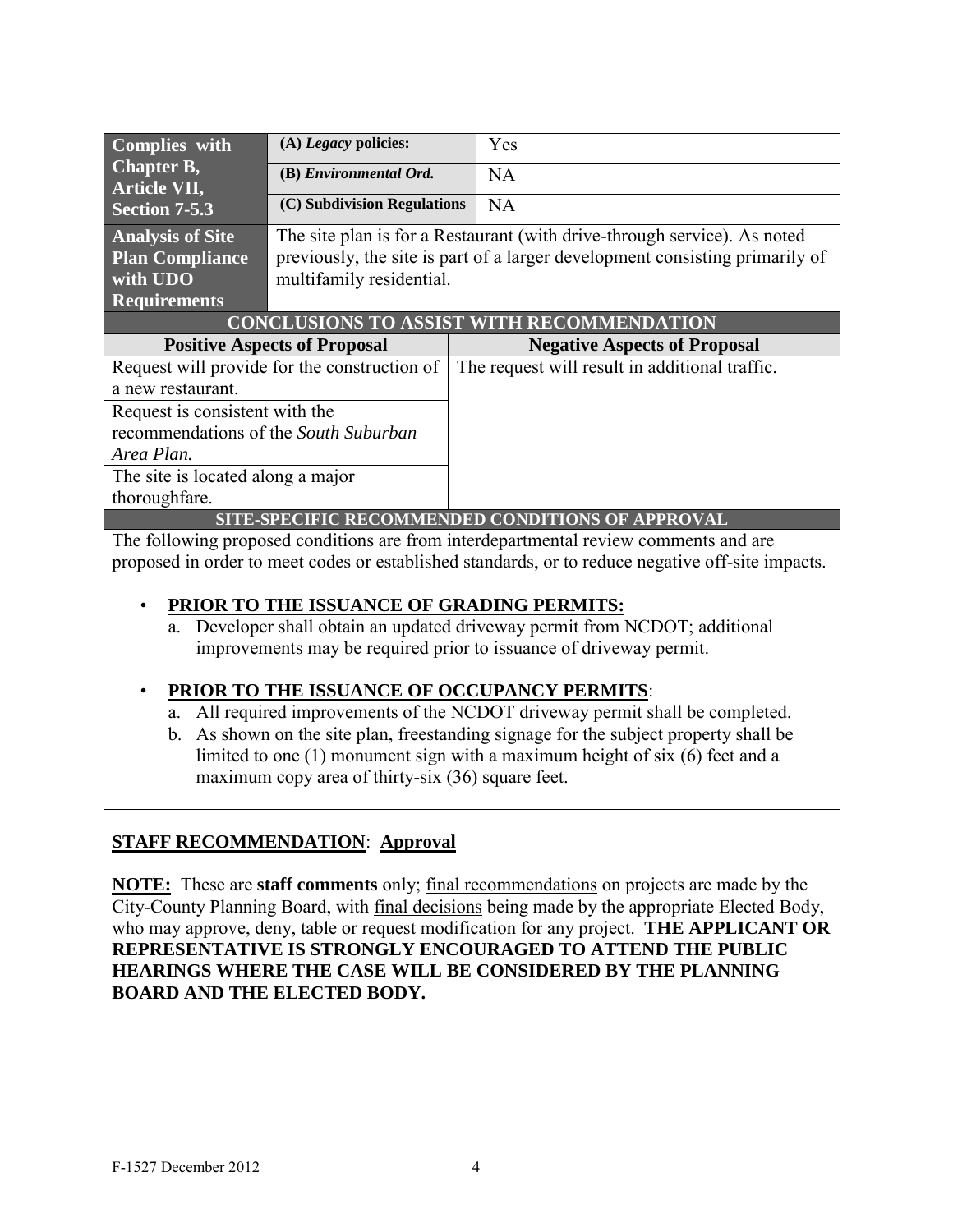| Complies with                                                                        | $(A)$ <i>Legacy</i> policies:                | Yes                                                                                                                                                      |  |  |  |  |  |
|--------------------------------------------------------------------------------------|----------------------------------------------|----------------------------------------------------------------------------------------------------------------------------------------------------------|--|--|--|--|--|
| Chapter B,<br>Article VII,                                                           | (B) Environmental Ord.                       | <b>NA</b>                                                                                                                                                |  |  |  |  |  |
| <b>Section 7-5.3</b>                                                                 | (C) Subdivision Regulations                  | NA                                                                                                                                                       |  |  |  |  |  |
| <b>Analysis of Site</b><br><b>Plan Compliance</b><br>with UDO<br><b>Requirements</b> | multifamily residential.                     | The site plan is for a Restaurant (with drive-through service). As noted<br>previously, the site is part of a larger development consisting primarily of |  |  |  |  |  |
|                                                                                      |                                              | <b>CONCLUSIONS TO ASSIST WITH RECOMMENDATION</b>                                                                                                         |  |  |  |  |  |
|                                                                                      |                                              |                                                                                                                                                          |  |  |  |  |  |
|                                                                                      | <b>Positive Aspects of Proposal</b>          | <b>Negative Aspects of Proposal</b>                                                                                                                      |  |  |  |  |  |
|                                                                                      | Request will provide for the construction of | The request will result in additional traffic.                                                                                                           |  |  |  |  |  |
| a new restaurant.                                                                    |                                              |                                                                                                                                                          |  |  |  |  |  |
| Request is consistent with the                                                       |                                              |                                                                                                                                                          |  |  |  |  |  |
| recommendations of the South Suburban                                                |                                              |                                                                                                                                                          |  |  |  |  |  |
| Area Plan.                                                                           |                                              |                                                                                                                                                          |  |  |  |  |  |
| The site is located along a major                                                    |                                              |                                                                                                                                                          |  |  |  |  |  |
| thoroughfare.                                                                        |                                              |                                                                                                                                                          |  |  |  |  |  |

The following proposed conditions are from interdepartmental review comments and are proposed in order to meet codes or established standards, or to reduce negative off-site impacts.

#### • **PRIOR TO THE ISSUANCE OF GRADING PERMITS:**

a. Developer shall obtain an updated driveway permit from NCDOT; additional improvements may be required prior to issuance of driveway permit.

## • **PRIOR TO THE ISSUANCE OF OCCUPANCY PERMITS**:

- a. All required improvements of the NCDOT driveway permit shall be completed.
- b. As shown on the site plan, freestanding signage for the subject property shall be limited to one (1) monument sign with a maximum height of six (6) feet and a maximum copy area of thirty-six (36) square feet.

## **STAFF RECOMMENDATION**: **Approval**

**NOTE:** These are **staff comments** only; final recommendations on projects are made by the City-County Planning Board, with final decisions being made by the appropriate Elected Body, who may approve, deny, table or request modification for any project. **THE APPLICANT OR REPRESENTATIVE IS STRONGLY ENCOURAGED TO ATTEND THE PUBLIC HEARINGS WHERE THE CASE WILL BE CONSIDERED BY THE PLANNING BOARD AND THE ELECTED BODY.**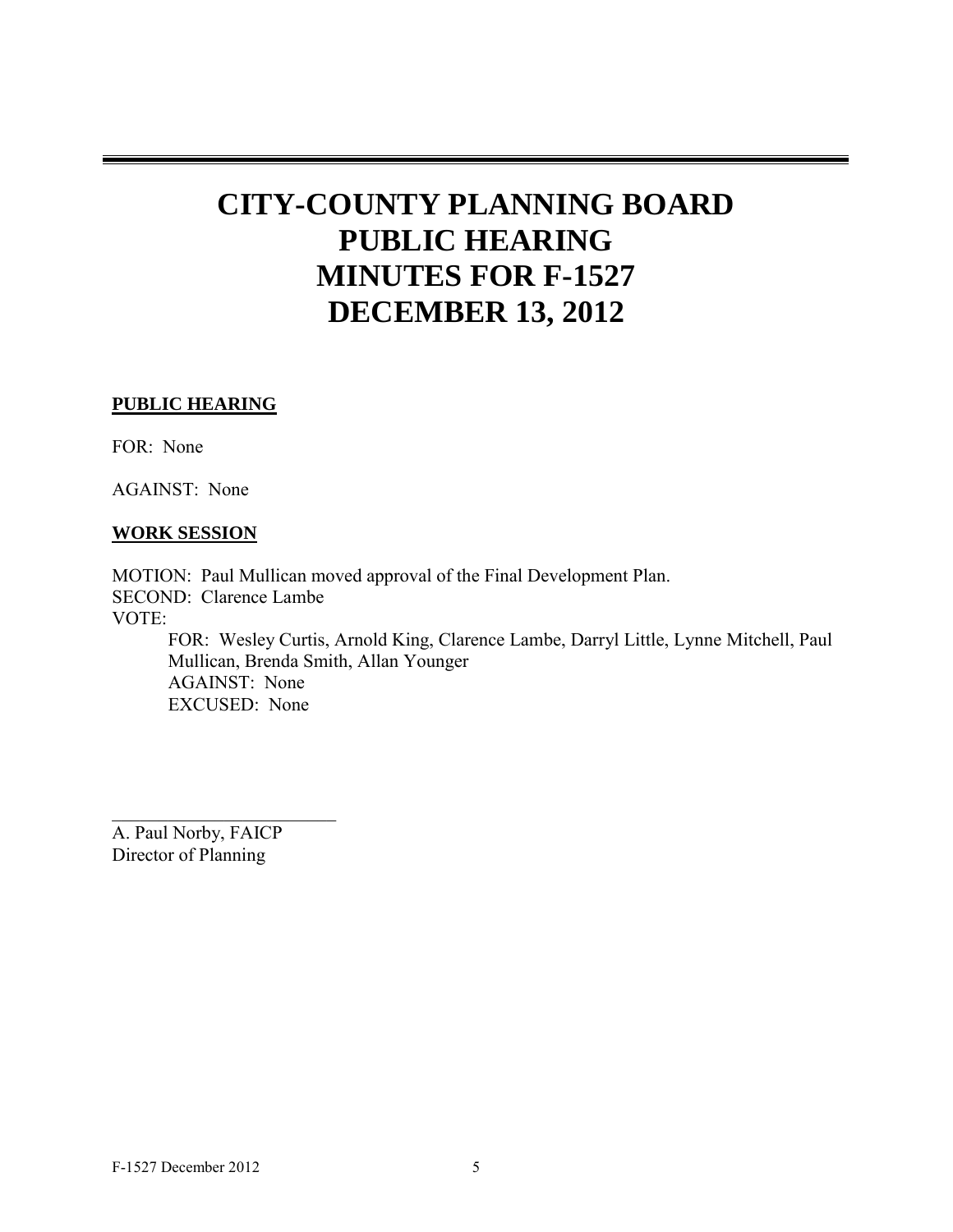# **CITY-COUNTY PLANNING BOARD PUBLIC HEARING MINUTES FOR F-1527 DECEMBER 13, 2012**

#### **PUBLIC HEARING**

FOR: None

AGAINST: None

#### **WORK SESSION**

MOTION: Paul Mullican moved approval of the Final Development Plan. SECOND: Clarence Lambe VOTE: FOR: Wesley Curtis, Arnold King, Clarence Lambe, Darryl Little, Lynne Mitchell, Paul Mullican, Brenda Smith, Allan Younger AGAINST: None EXCUSED: None

A. Paul Norby, FAICP Director of Planning

 $\overline{\phantom{a}}$  , which is a set of the set of the set of the set of the set of the set of the set of the set of the set of the set of the set of the set of the set of the set of the set of the set of the set of the set of th